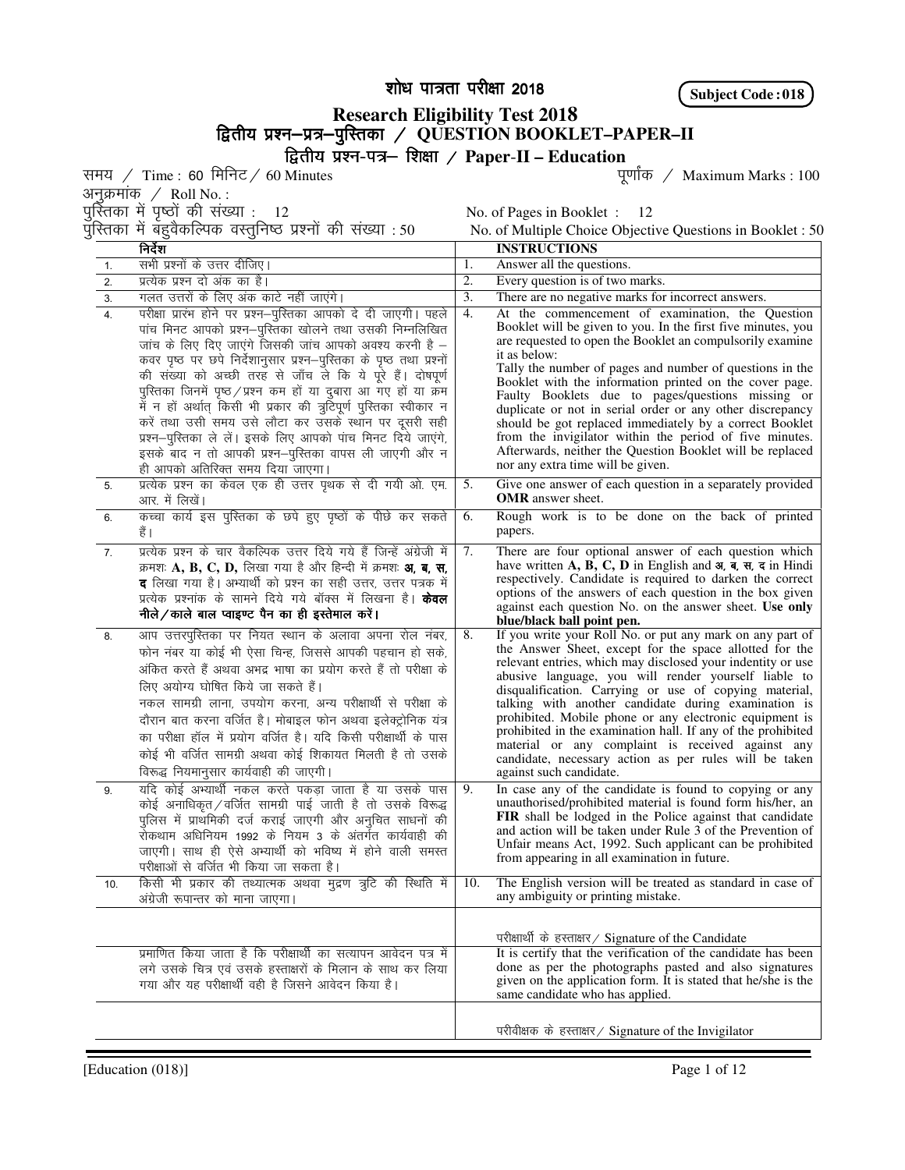शोध पात्रता परीक्षा 2018

**Subject Code : 018**

## **Research Eligibility Test 2018**  f}rh; iz'u&iz=& f}rh; iz'u&iz=&iqfLrdk iqfLrdkiqfLrdk@ **QUESTION BOOKLET–PAPER–II**  f}rh; iz'u-i=&f'k{kk@ **Paper**-**II – Education**

समय / Time : 60 मिनिट / 60 Minutes

अनुक्रमांक $\angle$  Roll No. :

पुस्तिका में बहुवैकल्पिक वस्तुनिष्ठ प्रश्नों की संख्या : 50 No. of Multiple Choice Objective Questions in Booklet : 50

पुर्स्तिका में पृष्ठों की संख्या :  $\,$  12  $\,$   $\,$   $\,$  No. of Pages in Booklet :  $\,$  12  $\,$ 

|                  | निर्देश                                                                 |                  | <b>INSTRUCTIONS</b><br>Answer all the questions.<br>Every question is of two marks.<br>There are no negative marks for incorrect answers.<br>Booklet will be given to you. In the first five minutes, you<br>are requested to open the Booklet an compulsorily examine<br>it as below:<br>Tally the number of pages and number of questions in the<br>Booklet with the information printed on the cover page.<br>Faulty Booklets due to pages/questions missing or<br>duplicate or not in serial order or any other discrepancy<br>from the invigilator within the period of five minutes.<br>Afterwards, neither the Question Booklet will be replaced<br>nor any extra time will be given.<br>Give one answer of each question in a separately provided<br><b>OMR</b> answer sheet.<br>Rough work is to be done on the back of printed<br>papers.<br>There are four optional answer of each question which<br>have written $A$ , $B$ , $C$ , $D$ in English and $\overline{a}$ , $\overline{a}$ , $\overline{a}$ , $\overline{a}$ in Hindi<br>respectively. Candidate is required to darken the correct<br>options of the answers of each question in the box given<br>against each question No. on the answer sheet. Use only<br>blue/black ball point pen.<br>the Answer Sheet, except for the space allotted for the<br>relevant entries, which may disclosed your indentity or use<br>abusive language, you will render yourself liable to<br>disqualification. Carrying or use of copying material,<br>talking with another candidate during examination is<br>prohibited in the examination hall. If any of the prohibited<br>material or any complaint is received against any<br>candidate, necessary action as per rules will be taken<br>against such candidate.<br>In case any of the candidate is found to copying or any<br>unauthorised/prohibited material is found form his/her, an<br>Unfair means Act, 1992. Such applicant can be prohibited<br>from appearing in all examination in future. |  |  |  |
|------------------|-------------------------------------------------------------------------|------------------|-------------------------------------------------------------------------------------------------------------------------------------------------------------------------------------------------------------------------------------------------------------------------------------------------------------------------------------------------------------------------------------------------------------------------------------------------------------------------------------------------------------------------------------------------------------------------------------------------------------------------------------------------------------------------------------------------------------------------------------------------------------------------------------------------------------------------------------------------------------------------------------------------------------------------------------------------------------------------------------------------------------------------------------------------------------------------------------------------------------------------------------------------------------------------------------------------------------------------------------------------------------------------------------------------------------------------------------------------------------------------------------------------------------------------------------------------------------------------------------------------------------------------------------------------------------------------------------------------------------------------------------------------------------------------------------------------------------------------------------------------------------------------------------------------------------------------------------------------------------------------------------------------------------------------------------------------------------------------------------------------------------------|--|--|--|
| 1.               | सभी प्रश्नों के उत्तर दीजिए।                                            | 1.               |                                                                                                                                                                                                                                                                                                                                                                                                                                                                                                                                                                                                                                                                                                                                                                                                                                                                                                                                                                                                                                                                                                                                                                                                                                                                                                                                                                                                                                                                                                                                                                                                                                                                                                                                                                                                                                                                                                                                                                                                                   |  |  |  |
| 2.               | प्रत्येक प्रश्न दो अंक का है।                                           | $\overline{2}$ . |                                                                                                                                                                                                                                                                                                                                                                                                                                                                                                                                                                                                                                                                                                                                                                                                                                                                                                                                                                                                                                                                                                                                                                                                                                                                                                                                                                                                                                                                                                                                                                                                                                                                                                                                                                                                                                                                                                                                                                                                                   |  |  |  |
| $\overline{3}$ . | गलत उत्तरों के लिए अंक काटे नहीं जाएंगे।                                | 3.               |                                                                                                                                                                                                                                                                                                                                                                                                                                                                                                                                                                                                                                                                                                                                                                                                                                                                                                                                                                                                                                                                                                                                                                                                                                                                                                                                                                                                                                                                                                                                                                                                                                                                                                                                                                                                                                                                                                                                                                                                                   |  |  |  |
| 4.               | परीक्षा प्रारंभ होने पर प्रश्न-पुस्तिका आपको दे दी जाएगी। पहले          | 4.               | At the commencement of examination, the Question                                                                                                                                                                                                                                                                                                                                                                                                                                                                                                                                                                                                                                                                                                                                                                                                                                                                                                                                                                                                                                                                                                                                                                                                                                                                                                                                                                                                                                                                                                                                                                                                                                                                                                                                                                                                                                                                                                                                                                  |  |  |  |
|                  | पांच मिनट आपको प्रश्न-पुस्तिका खोलने तथा उसकी निम्नलिखित                |                  |                                                                                                                                                                                                                                                                                                                                                                                                                                                                                                                                                                                                                                                                                                                                                                                                                                                                                                                                                                                                                                                                                                                                                                                                                                                                                                                                                                                                                                                                                                                                                                                                                                                                                                                                                                                                                                                                                                                                                                                                                   |  |  |  |
|                  | जांच के लिए दिए जाएंगे जिसकी जांच आपको अवश्य करनी है –                  |                  |                                                                                                                                                                                                                                                                                                                                                                                                                                                                                                                                                                                                                                                                                                                                                                                                                                                                                                                                                                                                                                                                                                                                                                                                                                                                                                                                                                                                                                                                                                                                                                                                                                                                                                                                                                                                                                                                                                                                                                                                                   |  |  |  |
|                  | कवर पृष्ठ पर छपे निर्देशानुसार प्रश्न–पुस्तिका के पृष्ठ तथा प्रश्नों    |                  |                                                                                                                                                                                                                                                                                                                                                                                                                                                                                                                                                                                                                                                                                                                                                                                                                                                                                                                                                                                                                                                                                                                                                                                                                                                                                                                                                                                                                                                                                                                                                                                                                                                                                                                                                                                                                                                                                                                                                                                                                   |  |  |  |
|                  | की संख्या को अच्छी तरह से जाँच ले कि ये पूरे हैं। दोषपूर्ण              |                  |                                                                                                                                                                                                                                                                                                                                                                                                                                                                                                                                                                                                                                                                                                                                                                                                                                                                                                                                                                                                                                                                                                                                                                                                                                                                                                                                                                                                                                                                                                                                                                                                                                                                                                                                                                                                                                                                                                                                                                                                                   |  |  |  |
|                  | पुस्तिका जिनमें पृष्ठ / प्रश्न कम हों या दुबारा आ गए हों या क्रम        |                  |                                                                                                                                                                                                                                                                                                                                                                                                                                                                                                                                                                                                                                                                                                                                                                                                                                                                                                                                                                                                                                                                                                                                                                                                                                                                                                                                                                                                                                                                                                                                                                                                                                                                                                                                                                                                                                                                                                                                                                                                                   |  |  |  |
|                  | में न हों अर्थात् किसी भी प्रकार की त्रुटिपूर्ण पुस्तिका स्वीकार न      |                  |                                                                                                                                                                                                                                                                                                                                                                                                                                                                                                                                                                                                                                                                                                                                                                                                                                                                                                                                                                                                                                                                                                                                                                                                                                                                                                                                                                                                                                                                                                                                                                                                                                                                                                                                                                                                                                                                                                                                                                                                                   |  |  |  |
|                  | करें तथा उसी समय उसे लौटा कर उसके स्थान पर दूसरी सही                    |                  | should be got replaced immediately by a correct Booklet                                                                                                                                                                                                                                                                                                                                                                                                                                                                                                                                                                                                                                                                                                                                                                                                                                                                                                                                                                                                                                                                                                                                                                                                                                                                                                                                                                                                                                                                                                                                                                                                                                                                                                                                                                                                                                                                                                                                                           |  |  |  |
|                  | प्रश्न-पुस्तिका ले लें। इसके लिए आपको पांच मिनट दिये जाएंगे,            |                  |                                                                                                                                                                                                                                                                                                                                                                                                                                                                                                                                                                                                                                                                                                                                                                                                                                                                                                                                                                                                                                                                                                                                                                                                                                                                                                                                                                                                                                                                                                                                                                                                                                                                                                                                                                                                                                                                                                                                                                                                                   |  |  |  |
|                  | इसके बाद न तो आपकी प्रश्न-पुस्तिका वापस ली जाएगी और न                   |                  |                                                                                                                                                                                                                                                                                                                                                                                                                                                                                                                                                                                                                                                                                                                                                                                                                                                                                                                                                                                                                                                                                                                                                                                                                                                                                                                                                                                                                                                                                                                                                                                                                                                                                                                                                                                                                                                                                                                                                                                                                   |  |  |  |
|                  | ही आपको अतिरिक्त समय दिया जाएगा।                                        |                  |                                                                                                                                                                                                                                                                                                                                                                                                                                                                                                                                                                                                                                                                                                                                                                                                                                                                                                                                                                                                                                                                                                                                                                                                                                                                                                                                                                                                                                                                                                                                                                                                                                                                                                                                                                                                                                                                                                                                                                                                                   |  |  |  |
| 5.               | प्रत्येक प्रश्न का केवल एक ही उत्तर पृथक से दी गयी ओ. एम.               | 5.               |                                                                                                                                                                                                                                                                                                                                                                                                                                                                                                                                                                                                                                                                                                                                                                                                                                                                                                                                                                                                                                                                                                                                                                                                                                                                                                                                                                                                                                                                                                                                                                                                                                                                                                                                                                                                                                                                                                                                                                                                                   |  |  |  |
|                  | आर. में लिखें।                                                          |                  |                                                                                                                                                                                                                                                                                                                                                                                                                                                                                                                                                                                                                                                                                                                                                                                                                                                                                                                                                                                                                                                                                                                                                                                                                                                                                                                                                                                                                                                                                                                                                                                                                                                                                                                                                                                                                                                                                                                                                                                                                   |  |  |  |
| 6.               | कच्चा कार्य इस पुस्तिका के छपे हुए पृष्ठों के पीछे कर सकते              | 6.               |                                                                                                                                                                                                                                                                                                                                                                                                                                                                                                                                                                                                                                                                                                                                                                                                                                                                                                                                                                                                                                                                                                                                                                                                                                                                                                                                                                                                                                                                                                                                                                                                                                                                                                                                                                                                                                                                                                                                                                                                                   |  |  |  |
|                  | हैं ।                                                                   |                  |                                                                                                                                                                                                                                                                                                                                                                                                                                                                                                                                                                                                                                                                                                                                                                                                                                                                                                                                                                                                                                                                                                                                                                                                                                                                                                                                                                                                                                                                                                                                                                                                                                                                                                                                                                                                                                                                                                                                                                                                                   |  |  |  |
| $\overline{7}$ . | प्रत्येक प्रश्न के चार वैकल्पिक उत्तर दिये गये हैं जिन्हें अंग्रेजी में | 7.               |                                                                                                                                                                                                                                                                                                                                                                                                                                                                                                                                                                                                                                                                                                                                                                                                                                                                                                                                                                                                                                                                                                                                                                                                                                                                                                                                                                                                                                                                                                                                                                                                                                                                                                                                                                                                                                                                                                                                                                                                                   |  |  |  |
|                  | क्रमशः A, B, C, D, लिखा गया है और हिन्दी में क्रमशः अ, ब, स,            |                  |                                                                                                                                                                                                                                                                                                                                                                                                                                                                                                                                                                                                                                                                                                                                                                                                                                                                                                                                                                                                                                                                                                                                                                                                                                                                                                                                                                                                                                                                                                                                                                                                                                                                                                                                                                                                                                                                                                                                                                                                                   |  |  |  |
|                  | <b>द</b> लिखा गया है। अभ्यार्थी को प्रश्न का सही उत्तर, उत्तर पत्रक में |                  |                                                                                                                                                                                                                                                                                                                                                                                                                                                                                                                                                                                                                                                                                                                                                                                                                                                                                                                                                                                                                                                                                                                                                                                                                                                                                                                                                                                                                                                                                                                                                                                                                                                                                                                                                                                                                                                                                                                                                                                                                   |  |  |  |
|                  | प्रत्येक प्रश्नांक के सामने दिये गये बॉक्स में लिखना है। <b>केवल</b>    |                  |                                                                                                                                                                                                                                                                                                                                                                                                                                                                                                                                                                                                                                                                                                                                                                                                                                                                                                                                                                                                                                                                                                                                                                                                                                                                                                                                                                                                                                                                                                                                                                                                                                                                                                                                                                                                                                                                                                                                                                                                                   |  |  |  |
|                  | नीले/काले बाल प्वाइण्ट पैन का ही इस्तेमाल करें।                         |                  |                                                                                                                                                                                                                                                                                                                                                                                                                                                                                                                                                                                                                                                                                                                                                                                                                                                                                                                                                                                                                                                                                                                                                                                                                                                                                                                                                                                                                                                                                                                                                                                                                                                                                                                                                                                                                                                                                                                                                                                                                   |  |  |  |
| 8.               | आप उत्तरपुस्तिका पर नियत स्थान के अलावा अपना रोल नंबर,                  | 8.               | If you write your Roll No. or put any mark on any part of                                                                                                                                                                                                                                                                                                                                                                                                                                                                                                                                                                                                                                                                                                                                                                                                                                                                                                                                                                                                                                                                                                                                                                                                                                                                                                                                                                                                                                                                                                                                                                                                                                                                                                                                                                                                                                                                                                                                                         |  |  |  |
|                  | फोन नंबर या कोई भी ऐसा चिन्ह, जिससे आपकी पहचान हो सके,                  |                  |                                                                                                                                                                                                                                                                                                                                                                                                                                                                                                                                                                                                                                                                                                                                                                                                                                                                                                                                                                                                                                                                                                                                                                                                                                                                                                                                                                                                                                                                                                                                                                                                                                                                                                                                                                                                                                                                                                                                                                                                                   |  |  |  |
|                  | अंकित करते हैं अथवा अभद्र भाषा का प्रयोग करते हैं तो परीक्षा के         |                  |                                                                                                                                                                                                                                                                                                                                                                                                                                                                                                                                                                                                                                                                                                                                                                                                                                                                                                                                                                                                                                                                                                                                                                                                                                                                                                                                                                                                                                                                                                                                                                                                                                                                                                                                                                                                                                                                                                                                                                                                                   |  |  |  |
|                  | लिए अयोग्य घोषित किये जा सकते हैं।                                      |                  |                                                                                                                                                                                                                                                                                                                                                                                                                                                                                                                                                                                                                                                                                                                                                                                                                                                                                                                                                                                                                                                                                                                                                                                                                                                                                                                                                                                                                                                                                                                                                                                                                                                                                                                                                                                                                                                                                                                                                                                                                   |  |  |  |
|                  | नकल सामग्री लाना, उपयोग करना, अन्य परीक्षार्थी से परीक्षा के            |                  |                                                                                                                                                                                                                                                                                                                                                                                                                                                                                                                                                                                                                                                                                                                                                                                                                                                                                                                                                                                                                                                                                                                                                                                                                                                                                                                                                                                                                                                                                                                                                                                                                                                                                                                                                                                                                                                                                                                                                                                                                   |  |  |  |
|                  | दौरान बात करना वर्जित है। मोबाइल फोन अथवा इलेक्ट्रोनिक यंत्र            |                  | prohibited. Mobile phone or any electronic equipment is                                                                                                                                                                                                                                                                                                                                                                                                                                                                                                                                                                                                                                                                                                                                                                                                                                                                                                                                                                                                                                                                                                                                                                                                                                                                                                                                                                                                                                                                                                                                                                                                                                                                                                                                                                                                                                                                                                                                                           |  |  |  |
|                  | का परीक्षा हॉल में प्रयोग वर्जित है। यदि किसी परीक्षार्थी के पास        |                  |                                                                                                                                                                                                                                                                                                                                                                                                                                                                                                                                                                                                                                                                                                                                                                                                                                                                                                                                                                                                                                                                                                                                                                                                                                                                                                                                                                                                                                                                                                                                                                                                                                                                                                                                                                                                                                                                                                                                                                                                                   |  |  |  |
|                  | कोई भी वर्जित सामग्री अथवा कोई शिकायत मिलती है तो उसके                  |                  |                                                                                                                                                                                                                                                                                                                                                                                                                                                                                                                                                                                                                                                                                                                                                                                                                                                                                                                                                                                                                                                                                                                                                                                                                                                                                                                                                                                                                                                                                                                                                                                                                                                                                                                                                                                                                                                                                                                                                                                                                   |  |  |  |
|                  | विरूद्ध नियमानुसार कार्यवाही की जाएगी।                                  |                  |                                                                                                                                                                                                                                                                                                                                                                                                                                                                                                                                                                                                                                                                                                                                                                                                                                                                                                                                                                                                                                                                                                                                                                                                                                                                                                                                                                                                                                                                                                                                                                                                                                                                                                                                                                                                                                                                                                                                                                                                                   |  |  |  |
| 9.               | यदि कोई अभ्यार्थी नकल करते पकड़ा जाता है या उसके पास                    | 9.               |                                                                                                                                                                                                                                                                                                                                                                                                                                                                                                                                                                                                                                                                                                                                                                                                                                                                                                                                                                                                                                                                                                                                                                                                                                                                                                                                                                                                                                                                                                                                                                                                                                                                                                                                                                                                                                                                                                                                                                                                                   |  |  |  |
|                  | कोई अनाधिकृत/वर्जित सामग्री पाई जाती है तो उसके विरूद्ध                 |                  |                                                                                                                                                                                                                                                                                                                                                                                                                                                                                                                                                                                                                                                                                                                                                                                                                                                                                                                                                                                                                                                                                                                                                                                                                                                                                                                                                                                                                                                                                                                                                                                                                                                                                                                                                                                                                                                                                                                                                                                                                   |  |  |  |
|                  | पुलिस में प्राथमिकी दर्ज कराई जाएगी और अनुचित साधनों की                 |                  | <b>FIR</b> shall be lodged in the Police against that candidate                                                                                                                                                                                                                                                                                                                                                                                                                                                                                                                                                                                                                                                                                                                                                                                                                                                                                                                                                                                                                                                                                                                                                                                                                                                                                                                                                                                                                                                                                                                                                                                                                                                                                                                                                                                                                                                                                                                                                   |  |  |  |
|                  | रोकथाम अधिनियम 1992 के नियम 3 के अंतर्गेत कार्यवाही की                  |                  | and action will be taken under Rule 3 of the Prevention of                                                                                                                                                                                                                                                                                                                                                                                                                                                                                                                                                                                                                                                                                                                                                                                                                                                                                                                                                                                                                                                                                                                                                                                                                                                                                                                                                                                                                                                                                                                                                                                                                                                                                                                                                                                                                                                                                                                                                        |  |  |  |
|                  | जाएगी। साथ ही ऐसे अभ्यार्थी को भविष्य में होने वाली समस्त               |                  |                                                                                                                                                                                                                                                                                                                                                                                                                                                                                                                                                                                                                                                                                                                                                                                                                                                                                                                                                                                                                                                                                                                                                                                                                                                                                                                                                                                                                                                                                                                                                                                                                                                                                                                                                                                                                                                                                                                                                                                                                   |  |  |  |
|                  | परीक्षाओं से वर्जित भी किया जा सकता है।                                 |                  |                                                                                                                                                                                                                                                                                                                                                                                                                                                                                                                                                                                                                                                                                                                                                                                                                                                                                                                                                                                                                                                                                                                                                                                                                                                                                                                                                                                                                                                                                                                                                                                                                                                                                                                                                                                                                                                                                                                                                                                                                   |  |  |  |
| 10.              | किसी भी प्रकार की तथ्यात्मक अथवा मुद्रण त्रुटि की स्थिति में            | 10.              | The English version will be treated as standard in case of                                                                                                                                                                                                                                                                                                                                                                                                                                                                                                                                                                                                                                                                                                                                                                                                                                                                                                                                                                                                                                                                                                                                                                                                                                                                                                                                                                                                                                                                                                                                                                                                                                                                                                                                                                                                                                                                                                                                                        |  |  |  |
|                  | अंग्रेजी रूपान्तर को माना जाएगा।                                        |                  | any ambiguity or printing mistake.                                                                                                                                                                                                                                                                                                                                                                                                                                                                                                                                                                                                                                                                                                                                                                                                                                                                                                                                                                                                                                                                                                                                                                                                                                                                                                                                                                                                                                                                                                                                                                                                                                                                                                                                                                                                                                                                                                                                                                                |  |  |  |
|                  |                                                                         |                  |                                                                                                                                                                                                                                                                                                                                                                                                                                                                                                                                                                                                                                                                                                                                                                                                                                                                                                                                                                                                                                                                                                                                                                                                                                                                                                                                                                                                                                                                                                                                                                                                                                                                                                                                                                                                                                                                                                                                                                                                                   |  |  |  |
|                  |                                                                         |                  | परीक्षार्थी के हस्ताक्षर / Signature of the Candidate                                                                                                                                                                                                                                                                                                                                                                                                                                                                                                                                                                                                                                                                                                                                                                                                                                                                                                                                                                                                                                                                                                                                                                                                                                                                                                                                                                                                                                                                                                                                                                                                                                                                                                                                                                                                                                                                                                                                                             |  |  |  |
|                  | प्रमाणित किया जाता है कि परीक्षार्थी का सत्यापन आवेदन पत्र में          |                  | It is certify that the verification of the candidate has been                                                                                                                                                                                                                                                                                                                                                                                                                                                                                                                                                                                                                                                                                                                                                                                                                                                                                                                                                                                                                                                                                                                                                                                                                                                                                                                                                                                                                                                                                                                                                                                                                                                                                                                                                                                                                                                                                                                                                     |  |  |  |
|                  | लगे उसके चित्र एवं उसके हस्ताक्षरों के मिलान के साथ कर लिया             |                  | done as per the photographs pasted and also signatures                                                                                                                                                                                                                                                                                                                                                                                                                                                                                                                                                                                                                                                                                                                                                                                                                                                                                                                                                                                                                                                                                                                                                                                                                                                                                                                                                                                                                                                                                                                                                                                                                                                                                                                                                                                                                                                                                                                                                            |  |  |  |
|                  | गया और यह परीक्षार्थी वही है जिसने आवेदन किया है।                       |                  | given on the application form. It is stated that he/she is the                                                                                                                                                                                                                                                                                                                                                                                                                                                                                                                                                                                                                                                                                                                                                                                                                                                                                                                                                                                                                                                                                                                                                                                                                                                                                                                                                                                                                                                                                                                                                                                                                                                                                                                                                                                                                                                                                                                                                    |  |  |  |
|                  |                                                                         |                  | same candidate who has applied.                                                                                                                                                                                                                                                                                                                                                                                                                                                                                                                                                                                                                                                                                                                                                                                                                                                                                                                                                                                                                                                                                                                                                                                                                                                                                                                                                                                                                                                                                                                                                                                                                                                                                                                                                                                                                                                                                                                                                                                   |  |  |  |
|                  |                                                                         |                  |                                                                                                                                                                                                                                                                                                                                                                                                                                                                                                                                                                                                                                                                                                                                                                                                                                                                                                                                                                                                                                                                                                                                                                                                                                                                                                                                                                                                                                                                                                                                                                                                                                                                                                                                                                                                                                                                                                                                                                                                                   |  |  |  |
|                  |                                                                         |                  | परीवीक्षक के हस्ताक्षर/ Signature of the Invigilator                                                                                                                                                                                                                                                                                                                                                                                                                                                                                                                                                                                                                                                                                                                                                                                                                                                                                                                                                                                                                                                                                                                                                                                                                                                                                                                                                                                                                                                                                                                                                                                                                                                                                                                                                                                                                                                                                                                                                              |  |  |  |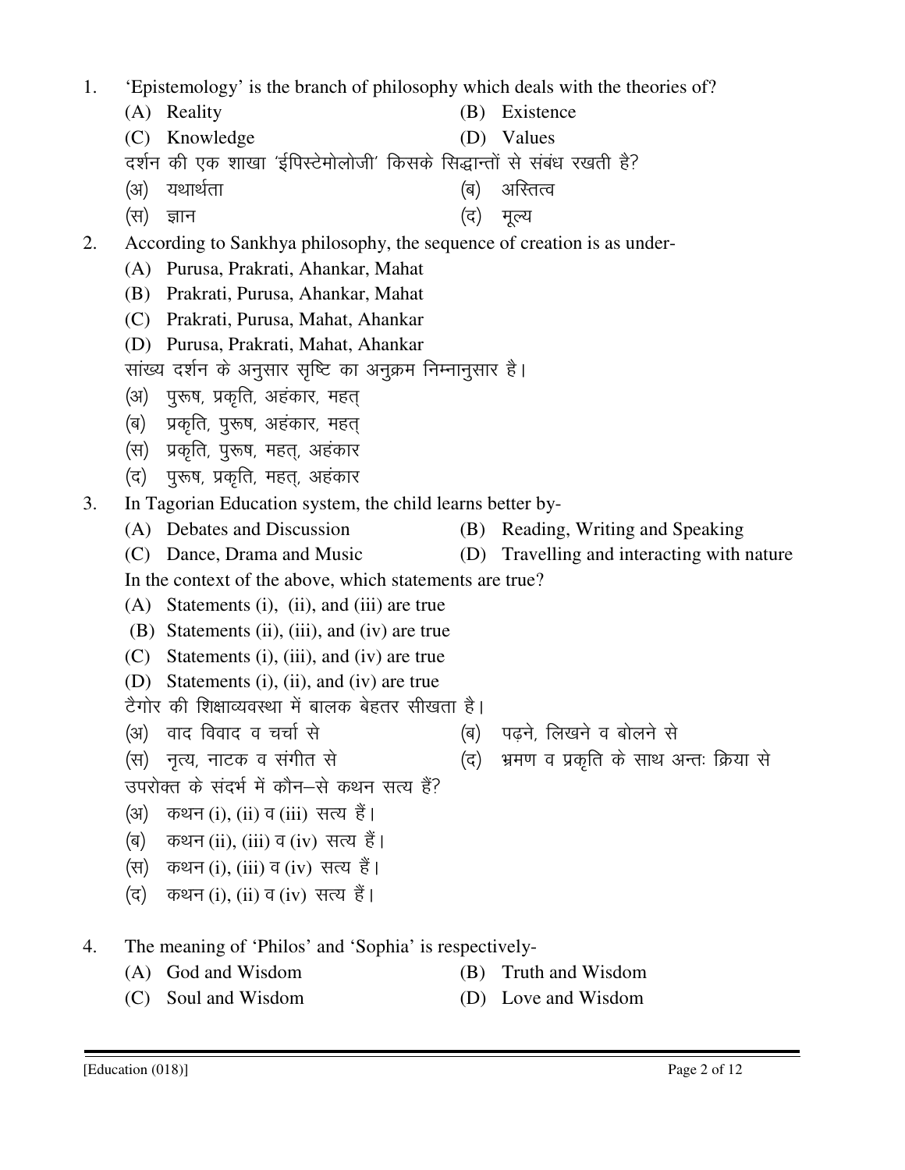- 1. 'Epistemology' is the branch of philosophy which deals with the theories of? (A) Reality (B) Existence (C) Knowledge (D) Values दर्शन की एक शाखा 'ईपिस्टेमोलोजी' किसके सिद्धान्तों से संबंध रखती है? (अ) यथार्थता (ब) अस्तित्व  $(\vec{r})$  ज्ञान (स) मूल्य 2. According to Sankhya philosophy, the sequence of creation is as under- (A) Purusa, Prakrati, Ahankar, Mahat (B) Prakrati, Purusa, Ahankar, Mahat (C) Prakrati, Purusa, Mahat, Ahankar (D) Purusa, Prakrati, Mahat, Ahankar सांख्य दर्शन के अनुसार सृष्टि का अनुक्रम निम्नानुसार है। (अ) पुरूष, प्रकृति, अहंकार, महत् (ब) प्रकृति, पुरूष, अहंकार, महत (स) प्रकृति, पुरूष, महत्, अहंकार (द) पुरूष, प्रकृति, महत, अहंकार 3. In Tagorian Education system, the child learns better by- (A) Debates and Discussion (B) Reading, Writing and Speaking (C) Dance, Drama and Music (D) Travelling and interacting with nature In the context of the above, which statements are true? (A) Statements (i), (ii), and (iii) are true (B) Statements (ii), (iii), and (iv) are true (C) Statements (i), (iii), and (iv) are true (D) Statements (i), (ii), and (iv) are true टैगोर की शिक्षाव्यवस्था में बालक बेहतर सीखता है। (अ) वाद विवाद व चर्चा से (ब) पढने. लिखने व बोलने से (स) नृत्य, नाटक व संगीत से (द) भ्रमण व प्रकृति के साथ अन्तः क्रिया से उपरोक्त के संदर्भ में कौन–से कथन सत्य हैं? (अ) कथन (i), (ii) व (iii) सत्य हैं। (ब) कथन (ii), (iii) व (iv) सत्य हैं। (स) कथन (i), (iii) व (iv) सत्य हैं। (द) कथन (i), (ii) व (iv) सत्य हैं। 4. The meaning of 'Philos' and 'Sophia' is respectively- (A) God and Wisdom (B) Truth and Wisdom
	- (C) Soul and Wisdom (D) Love and Wisdom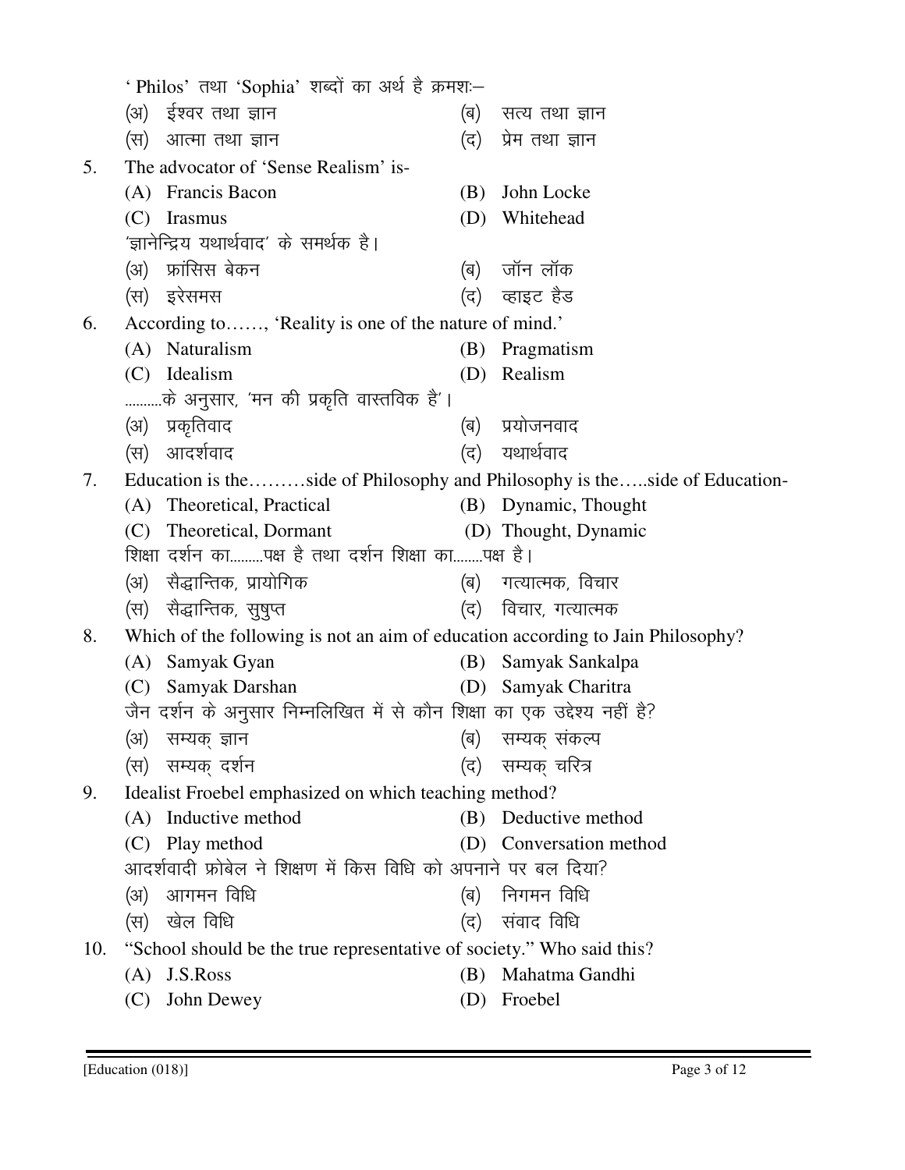|     | ' Philos' तथा 'Sophia' शब्दों का अर्थ है क्रमश:–                                                                         |                                                                            |                         |  |  |  |  |  |  |  |
|-----|--------------------------------------------------------------------------------------------------------------------------|----------------------------------------------------------------------------|-------------------------|--|--|--|--|--|--|--|
|     | (अ)) ईश्वर तथा ज्ञान                                                                                                     | (ब)                                                                        | सत्य तथा ज्ञान          |  |  |  |  |  |  |  |
|     | (स) आत्मा तथा ज्ञान                                                                                                      | (द)                                                                        | प्रेम तथा ज्ञान         |  |  |  |  |  |  |  |
| 5.  | The advocator of 'Sense Realism' is-                                                                                     |                                                                            |                         |  |  |  |  |  |  |  |
|     | (A) Francis Bacon                                                                                                        | (B)                                                                        | John Locke              |  |  |  |  |  |  |  |
|     | (C)<br>Irasmus                                                                                                           | (D)                                                                        | Whitehead               |  |  |  |  |  |  |  |
|     | 'ज्ञानेन्द्रिय यथार्थवाद' के समर्थक है।                                                                                  |                                                                            |                         |  |  |  |  |  |  |  |
|     | (अ) फ्रांसिस बेकन                                                                                                        | (ब)                                                                        | जॉन लॉक                 |  |  |  |  |  |  |  |
|     | (स) इरेसमस                                                                                                               |                                                                            | (द)    व्हाइट हैड       |  |  |  |  |  |  |  |
| 6.  |                                                                                                                          | According to, 'Reality is one of the nature of mind.'                      |                         |  |  |  |  |  |  |  |
|     | (A) Naturalism                                                                                                           |                                                                            | (B) Pragmatism          |  |  |  |  |  |  |  |
|     | (C) Idealism                                                                                                             | (D)                                                                        | Realism                 |  |  |  |  |  |  |  |
|     | के अनुसार, 'मन की प्रकृति वास्तविक है'।                                                                                  |                                                                            |                         |  |  |  |  |  |  |  |
|     | (अ) प्रकृतिवाद                                                                                                           | (ब)                                                                        | प्रयोजनवाद              |  |  |  |  |  |  |  |
|     | आदर्शवाद<br>(स)                                                                                                          | (द)                                                                        | यथार्थवाद               |  |  |  |  |  |  |  |
| 7.  |                                                                                                                          | Education is theside of Philosophy and Philosophy is theside of Education- |                         |  |  |  |  |  |  |  |
|     | (A) Theoretical, Practical                                                                                               |                                                                            | (B) Dynamic, Thought    |  |  |  |  |  |  |  |
|     | (C) Theoretical, Dormant<br>शिक्षा दर्शन कापक्ष है तथा दर्शन शिक्षा कापक्ष है।                                           |                                                                            | (D) Thought, Dynamic    |  |  |  |  |  |  |  |
|     | (अ) सैद्धान्तिक, प्रायोगिक                                                                                               | (ब) गत्यात्मक, विचार                                                       |                         |  |  |  |  |  |  |  |
|     |                                                                                                                          |                                                                            |                         |  |  |  |  |  |  |  |
|     |                                                                                                                          | (स)   सैद्धान्तिक,  सुषुप्त<br>(द) विचार, गत्यात्मक                        |                         |  |  |  |  |  |  |  |
| 8.  | Which of the following is not an aim of education according to Jain Philosophy?<br>Samyak Gyan<br>Samyak Sankalpa<br>(B) |                                                                            |                         |  |  |  |  |  |  |  |
|     | (A)<br>(C) Samyak Darshan                                                                                                |                                                                            | (D) Samyak Charitra     |  |  |  |  |  |  |  |
|     | जैन दर्शन के अनुसार निम्नलिखित में से कौन शिक्षा का एक उद्देश्य नहीं है?                                                 |                                                                            |                         |  |  |  |  |  |  |  |
|     | (अ) सम्यक् ज्ञान                                 (ब)  सम्यक् संकल्प                                                      |                                                                            |                         |  |  |  |  |  |  |  |
|     | (स)  सम्यक् दर्शन                                                                                                        | (द)                                                                        | सम्यक् चरित्र           |  |  |  |  |  |  |  |
| 9.  |                                                                                                                          | Idealist Froebel emphasized on which teaching method?                      |                         |  |  |  |  |  |  |  |
|     | (A) Inductive method                                                                                                     |                                                                            | (B) Deductive method    |  |  |  |  |  |  |  |
|     | (C) Play method                                                                                                          |                                                                            | (D) Conversation method |  |  |  |  |  |  |  |
|     | आदर्शवादी फ्रोबेल ने शिक्षण में किस विधि को अपनाने पर बल दिया?                                                           |                                                                            |                         |  |  |  |  |  |  |  |
|     | आगमन विधि<br>(3)                                                                                                         | (ब)                                                                        | निगमन विधि              |  |  |  |  |  |  |  |
|     | खेल विधि<br>(स)                                                                                                          | (द)                                                                        | संवाद विधि              |  |  |  |  |  |  |  |
| 10. | "School should be the true representative of society." Who said this?                                                    |                                                                            |                         |  |  |  |  |  |  |  |
|     | J.S.Ross<br>(A)                                                                                                          | (B)                                                                        | Mahatma Gandhi          |  |  |  |  |  |  |  |
|     | John Dewey<br>(C)                                                                                                        | (D)                                                                        | Froebel                 |  |  |  |  |  |  |  |
|     |                                                                                                                          |                                                                            |                         |  |  |  |  |  |  |  |

Ī.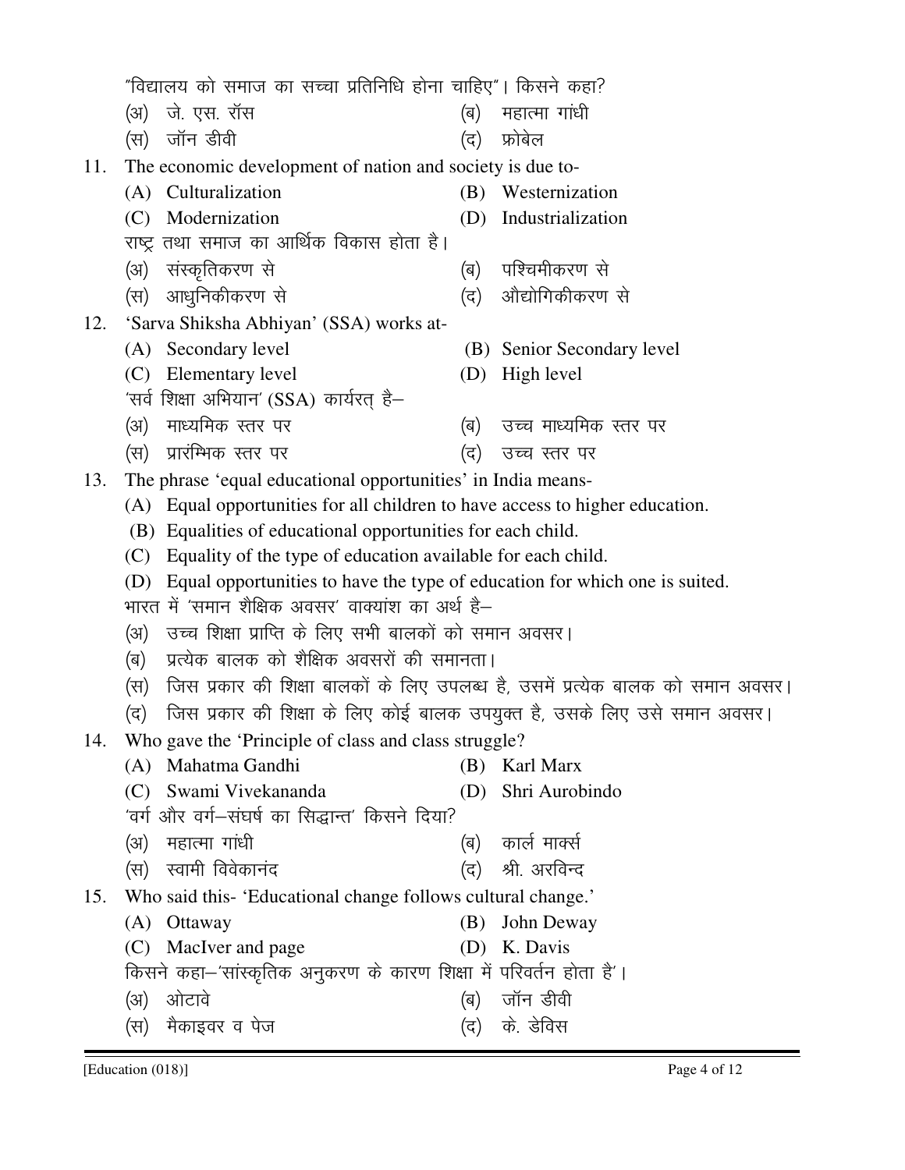[Education (018)] Page 4 of 12 (अ) जे. एस. रॉस  $(\texttt{H})$  जॉन डीवी (स) फोबेल 11. The economic development of nation and society is due to- (A) Culturalization (B) Westernization (C) Modernization (D) Industrialization राष्ट्र तथा समाज का आर्थिक विकास होता है। (अ) संस्कृतिकरण से (ब) पश्चिमीकरण से (स) आधुनिकीकरण से (द) ओद्योगिकीकरण से 12. 'Sarva Shiksha Abhiyan' (SSA) works at- (A) Secondary level (B) Senior Secondary level (C) Elementary level (D) High level 'सर्व शिक्षा अभियान' (SSA) कार्यरत है-(अ) माध्यमिक रतर पर (ब) उच्च माध्यमिक रतर पर (स) प्रारंम्भिक स्तर पर (द) उच्च स्तर पर 13. The phrase 'equal educational opportunities' in India means- (A) Equal opportunities for all children to have access to higher education. (B) Equalities of educational opportunities for each child. (C) Equality of the type of education available for each child. (D) Equal opportunities to have the type of education for which one is suited. भारत में 'समान शैक्षिक अवसर' वाक्यांश का अर्थ है– (अ) उच्च शिक्षा प्राप्ति के लिए सभी बालकों को समान अवसर। (ब) प्रत्येक बालक को शैक्षिक अवसरों की समानता। (स) जिस प्रकार की शिक्षा बालकों के लिए उपलब्ध है, उसमें प्रत्येक बालक को समान अवसर। (द) जिस प्रकार की शिक्षा के लिए कोई बालक उपयुक्त है, उसके लिए उसे समान अवसर। 14. Who gave the 'Principle of class and class struggle? (A) Mahatma Gandhi (B) Karl Marx (C) Swami Vivekananda (D) Shri Aurobindo 'वर्ग और वर्ग—संघर्ष का सिद्धान्त' किसने दिया? ¼v½ egkRek xk a/kh ¼c½ dkyZ ekDlZ (स) स्वामी विवेकानंद (द) श्री अरविन्द 15. Who said this- 'Educational change follows cultural change.' (A) Ottaway (B) John Deway (C) MacIver and page (D) K. Davis किसने कहा-'सांस्कृतिक अनुकरण के कारण शिक्षा में परिवर्तन होता है'। (अ) ओटावे थियो (ब) जॉन डीवी (स) मैकाइवर व पेज

"विद्यालय को समाज का सच्चा प्रतिनिधि होना चाहिए"। किसने कहा?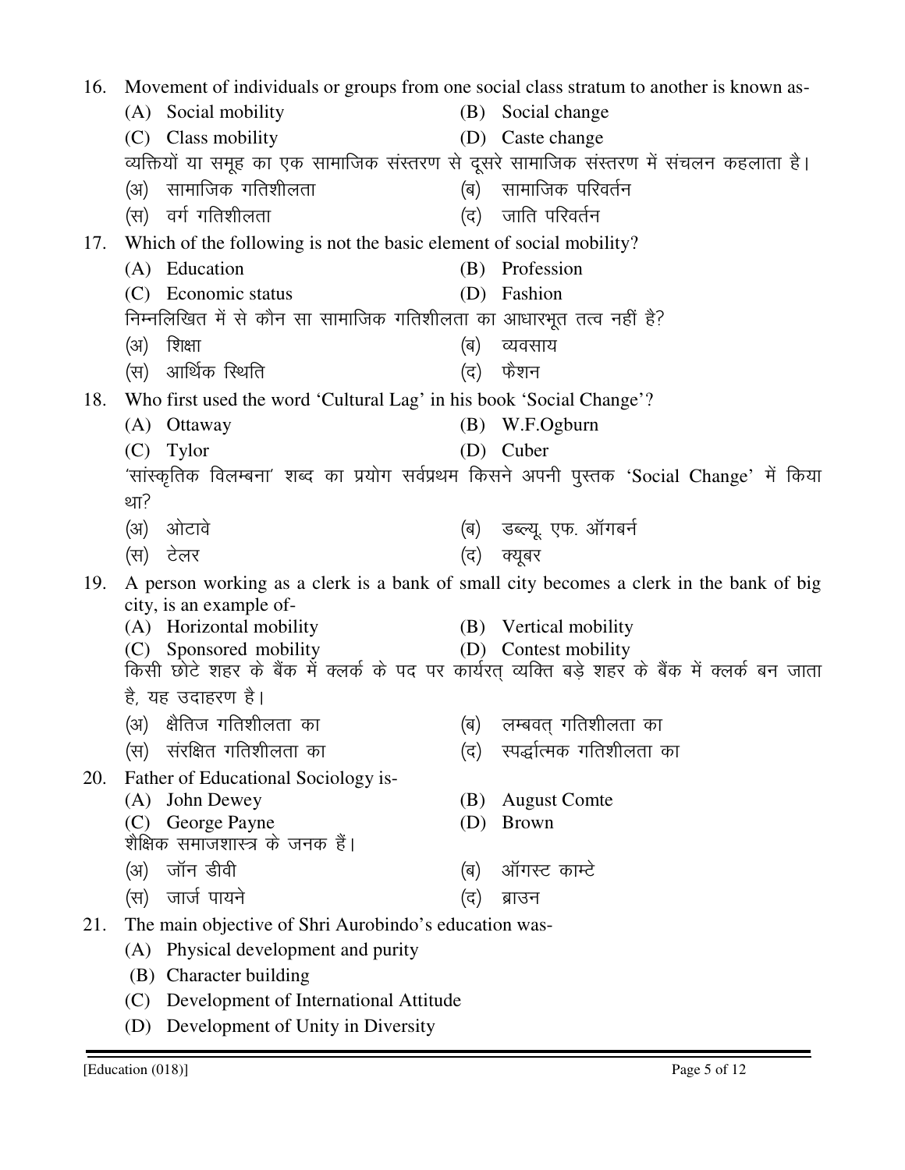16. Movement of individuals or groups from one social class stratum to another is known as- (A) Social mobility (B) Social change (C) Class mobility (D) Caste change व्यक्तियों या समूह का एक सामाजिक संस्तरण से दूसरे सामाजिक संस्तरण में संचलन कहलाता है। (अ) सामाजिक गतिशीलता (ब) सामाजिक परिवर्तन  $\langle$ स) वर्ग गतिशीलता  $\langle \sigma \rangle$  जाति परिवर्तन 17. Which of the following is not the basic element of social mobility? (A) Education (B) Profession (C) Economic status (D) Fashion निम्नलिखित में से कौन सा सामाजिक गतिशीलता का आधारभूत तत्व नहीं है? ¼v½ f'k{kk ¼c½ O;olk; (स) आर्थिक स्थिति (द) फैशन 18. Who first used the word 'Cultural Lag' in his book 'Social Change'? (A) Ottaway (B) W.F.Ogburn (C) Tylor (D) Cuber 'सांस्कृतिक विलम्बना' शब्द का प्रयोग सर्वप्रथम किसने अपनी पुस्तक 'Social Change' में किया था? (अ) ओटावे (ब) उब्ल्यू एफ. ऑगबर्न (स) टेलर (द) क्यूबर 19. A person working as a clerk is a bank of small city becomes a clerk in the bank of big city, is an example of- (A) Horizontal mobility (B) Vertical mobility (C) Sponsored mobility (D) Contest mobility  $(C)$  Sponsored mobility किसी छोटे शहर के बैंक में क्लर्क के पद पर कार्यरत् व्यक्ति बड़े शहर के बैंक में क्लर्क बन जाता है, यह उदाहरण है। (अ) क्षैतिज गतिशीलता का (ब) लम्बवत् गतिशीलता का (स) संरक्षित गतिशीलता का (द) स्पर्द्धात्मक गतिशीलता का 20. Father of Educational Sociology is- (A) John Dewey (B) August Comte (C) George Payne (D) Brown शैक्षिक समाजशास्त्र के जनक हैं। ¼v½ tkWu Mhoh ¼c½ vkWxLV dkEV s (स) जार्ज पायने (द) ब्राउन 21. The main objective of Shri Aurobindo's education was- (A) Physical development and purity (B) Character building (C) Development of International Attitude (D) Development of Unity in Diversity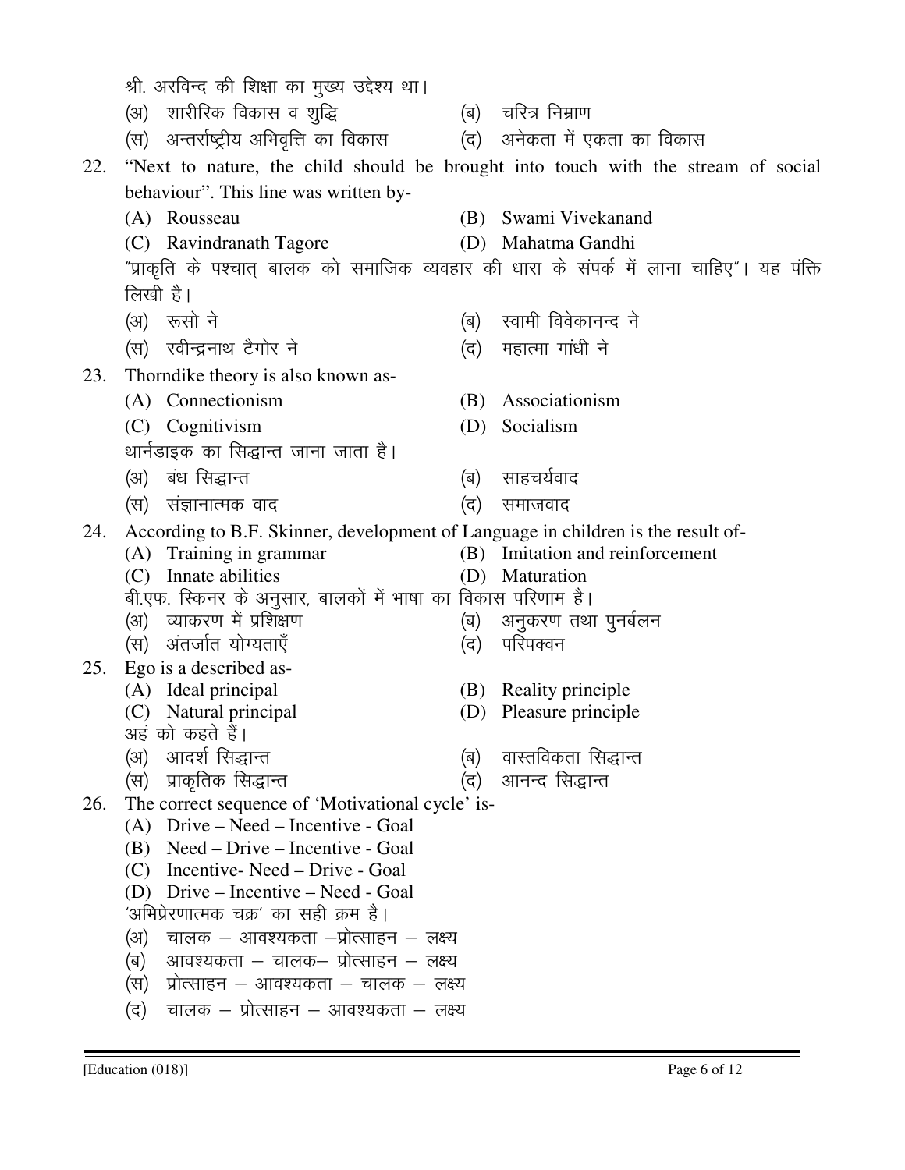|     | श्री. अरविन्द की शिक्षा का मुख्य उद्देश्य था।                                                                        |     |                                                                                   |  |  |  |  |  |  |  |
|-----|----------------------------------------------------------------------------------------------------------------------|-----|-----------------------------------------------------------------------------------|--|--|--|--|--|--|--|
|     | (अ) शारीरिक विकास व शुद्धि                                                                                           |     | (ब) चरित्र निम्राण                                                                |  |  |  |  |  |  |  |
|     | (स) अन्तर्राष्ट्रीय अभिवृत्ति का विकास                                                                               |     | (द) अनेकता में एकता का विकास                                                      |  |  |  |  |  |  |  |
| 22. |                                                                                                                      |     | "Next to nature, the child should be brought into touch with the stream of social |  |  |  |  |  |  |  |
|     | behaviour". This line was written by-                                                                                |     |                                                                                   |  |  |  |  |  |  |  |
|     | (A) Rousseau                                                                                                         |     | (B) Swami Vivekanand                                                              |  |  |  |  |  |  |  |
|     | (C) Ravindranath Tagore                                                                                              |     | (D) Mahatma Gandhi                                                                |  |  |  |  |  |  |  |
|     | "प्राकृति के पश्चात् बालक को समाजिक व्यवहार की धारा के संपर्क में लाना चाहिए"। यह पंक्ति                             |     |                                                                                   |  |  |  |  |  |  |  |
|     | लिखी है।                                                                                                             |     |                                                                                   |  |  |  |  |  |  |  |
|     | (अ) रूसो ने                                                                                                          |     | (ब) स्वामी विवेकानन्द ने                                                          |  |  |  |  |  |  |  |
|     | (स) रवीन्द्रनाथ टैगोर ने                                                                                             | (द) | महात्मा गांधी ने                                                                  |  |  |  |  |  |  |  |
| 23. | Thorndike theory is also known as-                                                                                   |     |                                                                                   |  |  |  |  |  |  |  |
|     | (A) Connectionism                                                                                                    |     | (B) Associationism                                                                |  |  |  |  |  |  |  |
|     | (C) Cognitivism                                                                                                      | (D) | Socialism                                                                         |  |  |  |  |  |  |  |
|     | थार्नडाइक का सिद्धान्त जाना जाता है।                                                                                 |     |                                                                                   |  |  |  |  |  |  |  |
|     | (अ) बंध सिद्धान्त                                                                                                    | (ब) | साहचर्यवाद                                                                        |  |  |  |  |  |  |  |
|     | (स) संज्ञानात्मक वाद                                                                                                 | (द) | समाजवाद                                                                           |  |  |  |  |  |  |  |
| 24. | According to B.F. Skinner, development of Language in children is the result of-                                     |     |                                                                                   |  |  |  |  |  |  |  |
|     | (A) Training in grammar                                                                                              |     | (B) Imitation and reinforcement                                                   |  |  |  |  |  |  |  |
|     | (C) Innate abilities                                                                                                 |     | (D) Maturation                                                                    |  |  |  |  |  |  |  |
|     | बी.एफ. स्किनर के अनुसार, बालकों में भाषा का विकास परिणाम है।<br>(अ) व्याकरण में प्रशिक्षण<br>(ब) अनुकरण तथा पुनर्बलन |     |                                                                                   |  |  |  |  |  |  |  |
|     |                                                                                                                      |     |                                                                                   |  |  |  |  |  |  |  |
| 25. | (स) अंतर्जात योग्यताएँ                                                                                               | (द) | परिपक्वन                                                                          |  |  |  |  |  |  |  |
|     | Ego is a described as-<br>(A) Ideal principal                                                                        |     | (B) Reality principle                                                             |  |  |  |  |  |  |  |
|     | (C) Natural principal                                                                                                | (D) | Pleasure principle                                                                |  |  |  |  |  |  |  |
|     | अहं को कहते हैं।                                                                                                     |     |                                                                                   |  |  |  |  |  |  |  |
|     | आदर्श सिद्धान्त<br>(अ)                                                                                               | (ब) | वास्तविकता सिद्धान्त                                                              |  |  |  |  |  |  |  |
|     | (स) प्राकृतिक सिद्धान्त                                                                                              | (द) | आनन्द सिद्धान्त                                                                   |  |  |  |  |  |  |  |
| 26. | The correct sequence of 'Motivational cycle' is-                                                                     |     |                                                                                   |  |  |  |  |  |  |  |
|     | $(A)$ Drive – Need – Incentive - Goal<br>Need – Drive – Incentive - Goal<br>(B)                                      |     |                                                                                   |  |  |  |  |  |  |  |
|     | Incentive-Need – Drive - Goal<br>(C)                                                                                 |     |                                                                                   |  |  |  |  |  |  |  |
|     | Drive – Incentive – Need - Goal<br>(D)                                                                               |     |                                                                                   |  |  |  |  |  |  |  |
|     | 'अभिप्रेरणात्मक चक्र' का सही क्रम है।                                                                                |     |                                                                                   |  |  |  |  |  |  |  |
|     | चालक – आवश्यकता –प्रोत्साहन – लक्ष्य<br>(अ)                                                                          |     |                                                                                   |  |  |  |  |  |  |  |
|     | आवश्यकता – चालक– प्रोत्साहन – लक्ष्य<br>(ब)                                                                          |     |                                                                                   |  |  |  |  |  |  |  |
|     | प्रोत्साहन – आवश्यकता – चालक – लक्ष्य<br>(स)                                                                         |     |                                                                                   |  |  |  |  |  |  |  |
|     | चालक – प्रोत्साहन – आवश्यकता – लक्ष्य<br>(द)                                                                         |     |                                                                                   |  |  |  |  |  |  |  |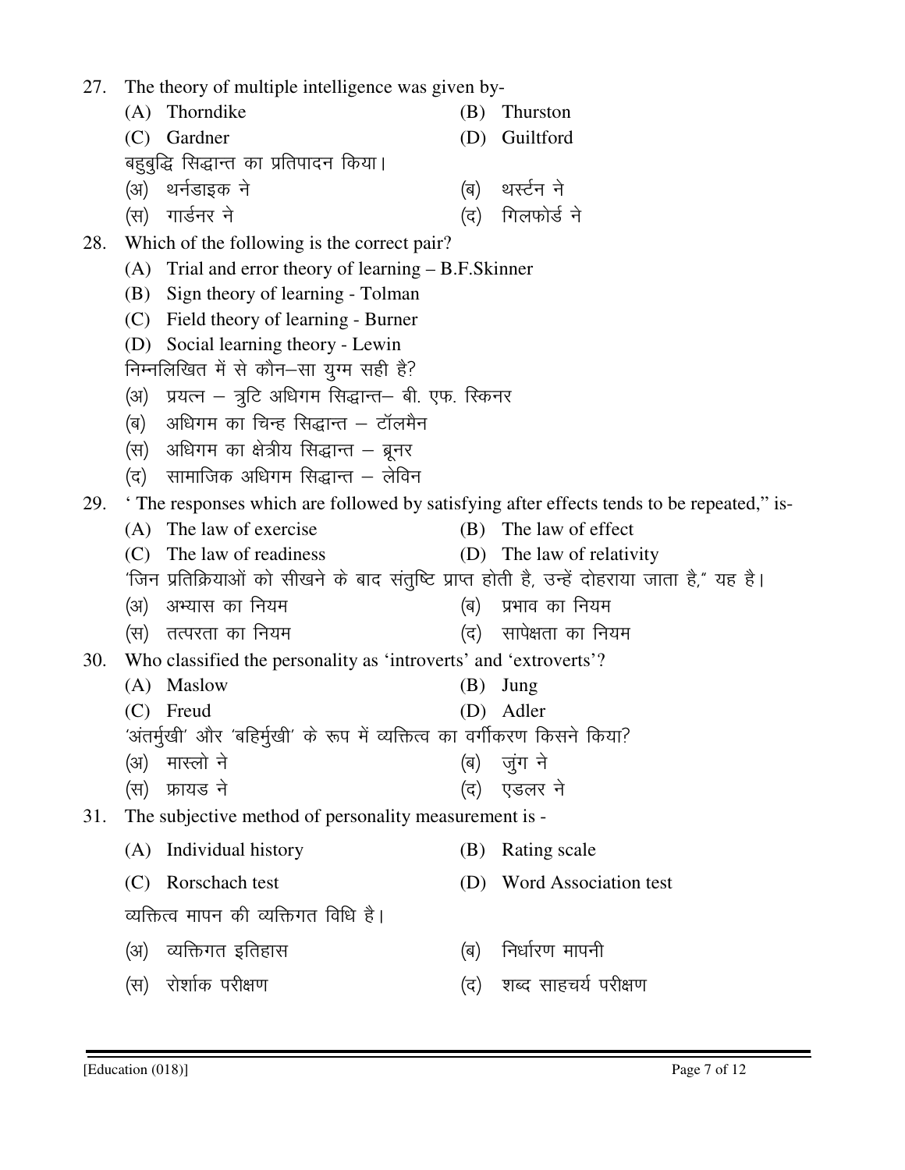(A) Thorndike (B) Thurston (C) Gardner (D) Guiltford बहुबुद्धि सिद्धान्त का प्रतिपादन किया। (अ) थर्नडाइक ने (ब) थर्स्टन ने  $(\nabla \cdot \mathbf{H})$  यार्डनर ने बाद संस्कृतिक संस्कृतिक संस्कृतिक संस्कृतिक संस्कृतिक संस्कृतिक संस्कृतिक संस्कृतिक 28. Which of the following is the correct pair? (A) Trial and error theory of learning – B.F.Skinner (B) Sign theory of learning - Tolman (C) Field theory of learning - Burner (D) Social learning theory - Lewin निम्नलिखित में से कौन-सा युग्म सही है?  $(3)$  प्रयत्न – त्रूटि अधिगम सिद्धान्त– बी. एफ. स्किनर  $\left( \mathbf{q} \right)$  अधिगम का चिन्ह सिद्धान्त – टॉलमैन  $\left(\mathrm{\overline{H}}\right)$  अधिगम का क्षेत्रीय सिद्धान्त – ब्रुनर  $\sigma$  (द) सामाजिक अधिगम सिद्धान्त – लेविन (A) The law of exercise (B) The law of effect

27. The theory of multiple intelligence was given by-

## 29. ' The responses which are followed by satisfying after effects tends to be repeated," is-

 (C) The law of readiness (D) The law of relativity 'जिन प्रतिक्रियाओं को सीखने के बाद संतुष्टि प्राप्त होती है, उन्हें दोहराया जाता है," यह है। (अ) अभ्यास का नियम (ब) प्रभाव का नियम (स) तत्परता का नियम (द) सापेक्षता का नियम 30. Who classified the personality as 'introverts' and 'extroverts'? (A) Maslow (B) Jung (C) Freud (D) Adler 'अंतर्मुखी' और 'बहिर्मुखी' के रूप में व्यक्तित्व का वर्गीकरण किसने किया? (अ) मास्लो ने (अ) जूंग ने (स) फ्रायड ने खा का बाद (द) एडलर ने 31. The subjective method of personality measurement is - (A) Individual history (B) Rating scale (C) Rorschach test (D) Word Association test व्यक्तित्व मापन की व्यक्तिगत विधि है। (अ) व्यक्तिगत इतिहास (ब) निर्धारण मापनी (स) रोशोक परीक्षण (द) शब्द साहचर्य परीक्षण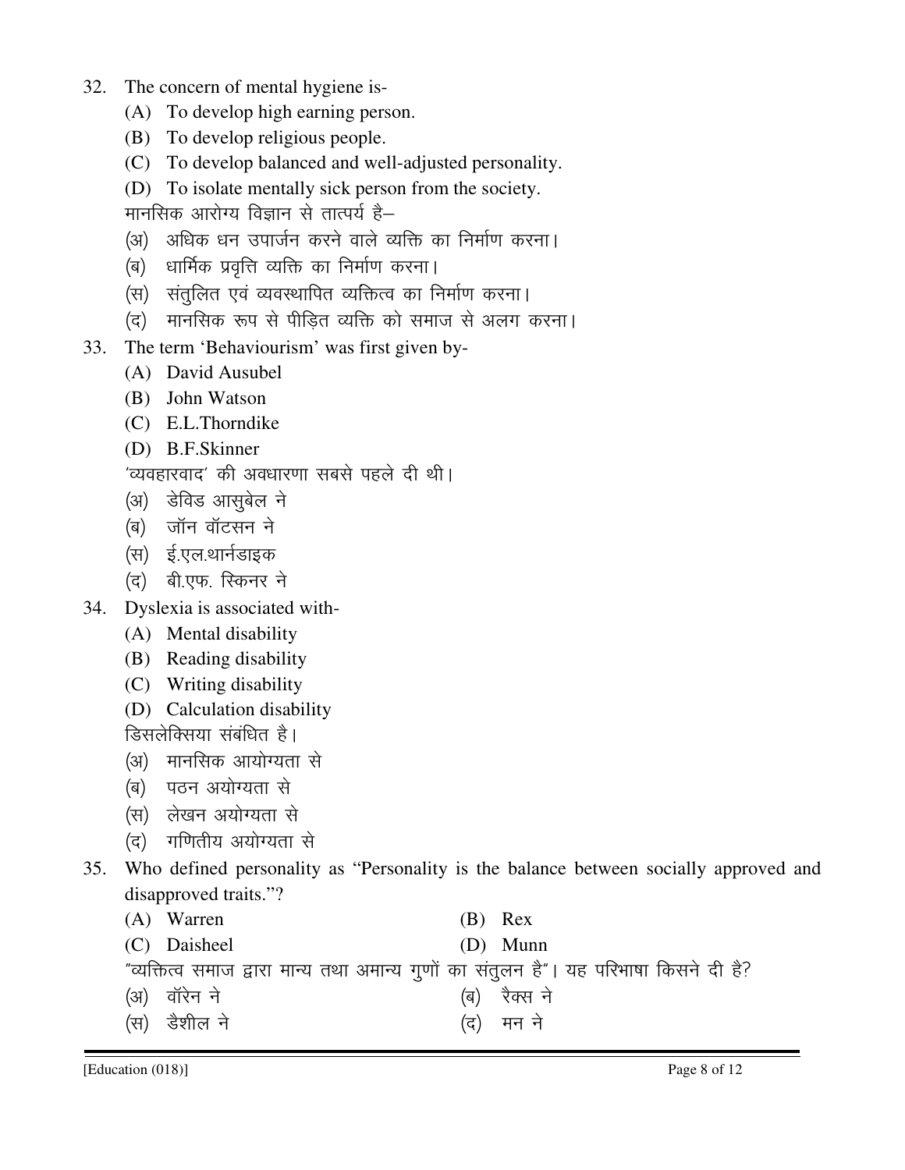- 32. The concern of mental hygiene is-
	- (A) To develop high earning person.
	- (B) To develop religious people.
	- (C) To develop balanced and well-adjusted personality.
	- (D) To isolate mentally sick person from the society. मानसिक आरोग्य विज्ञान से तात्पर्य है–

- (अ) अधिक धन उपार्जन करने वाले व्यक्ति का निर्माण करना।
- (ब) धार्मिक प्रवृत्ति व्यक्ति का निर्माण करना।
- $\langle$ स) संतलित एवं व्यवस्थापित व्यक्तित्व का निर्माण करना।
- (द) मानसिक रूप से पीडित व्यक्ति को समाज से अलग करना।
- 33. The term 'Behaviourism' was first given by-
	- (A) David Ausubel
	- (B) John Watson
	- (C) E.L.Thorndike
	- (D) B.F.Skinner

```
'व्यवहारवाद' की अवधारणा सबसे पहले दी थी।
```
- (अ) डेविड आसुबेल ने
- (ब) जॉन वॉटसन ने
- (स) ई.एल.थार्नडाइक
- (द) बी.एफ. स्किनर ने
- 34. Dyslexia is associated with-
	- (A) Mental disability
	- (B) Reading disability
	- (C) Writing disability
	- (D) Calculation disability

डिसलेक्सिया संबंधित है।

- (अ) मानसिक आयोग्यता से
- (ब) पठन अयोग्यता से
- (स) लेखन अयोग्यता से
- (द) गणितीय अयोग्यता से

```
35. Who defined personality as "Personality is the balance between socially approved and 
disapproved traits."?
```

| (A) Warren | $(B)$ Rex |
|------------|-----------|
|------------|-----------|

(C) Daisheel (D) Munn

"व्यक्तित्व समाज द्वारा मान्य तथा अमान्य गुणों का संतूलन है"। यह परिभाषा किसने दी है?

- ¼v½ okWjsu u s ¼c½ j SDl u s
- (स) डैशील ने (स) मन ने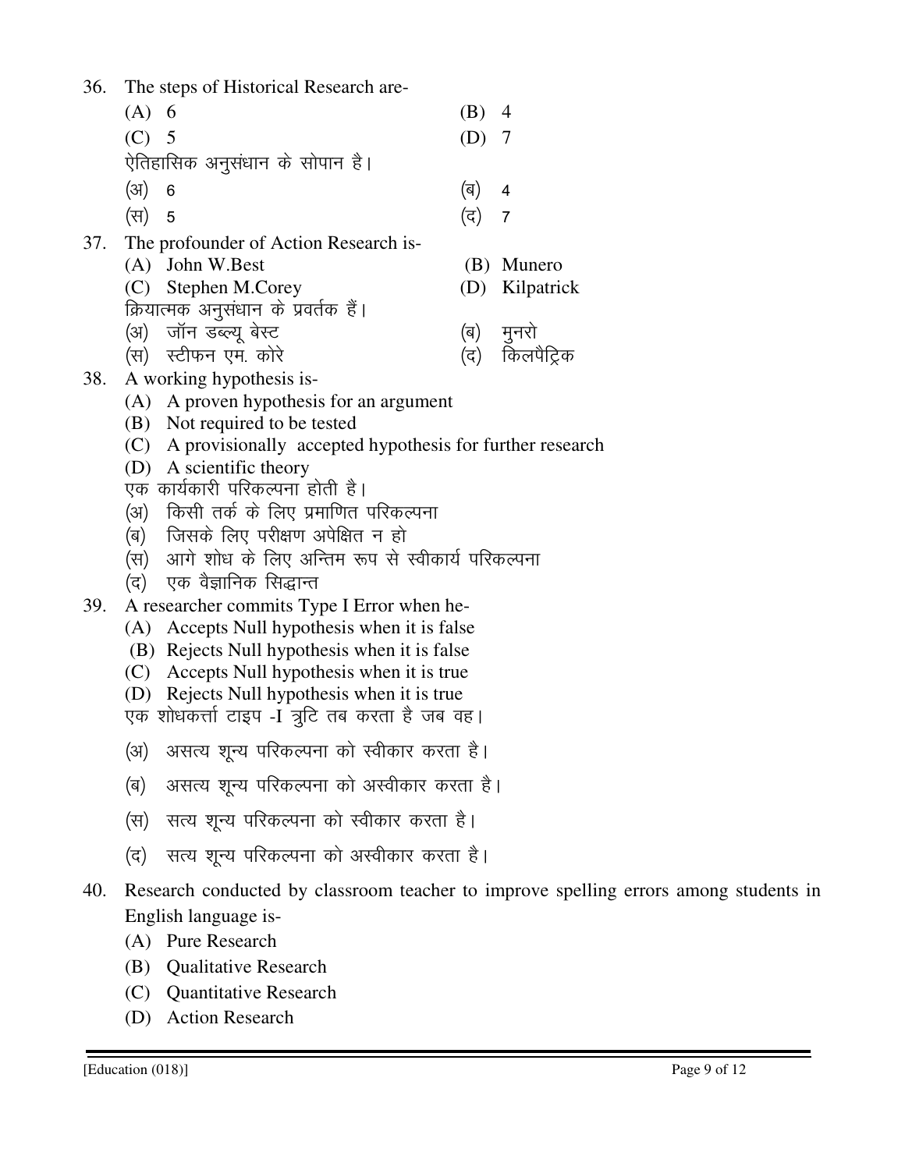- 36. The steps of Historical Research are-
- (A) 6 (B) 4 (C) 5 (D) 7 ऐतिहासिक अनुसंधान के सोपान है।  $(\text{3})$  6 (a) 4 (स) 5 (द) 7 37. The profounder of Action Research is- (A) John W.Best (B) Munero (C) Stephen M.Corey (D) Kilpatrick क्रियात्मक अनुसंधान के प्रवर्तक हैं। (अ) जॉन डब्ल्यू बेस्ट (ब) मुनरो (स) स्टीफन एम. कोरे (द) किलपैट्रिक 38. A working hypothesis is- (A) A proven hypothesis for an argument (B) Not required to be tested (C) A provisionally accepted hypothesis for further research (D) A scientific theory
	- एक कार्यकारी परिकल्पना होती है।
	- (अ) किसी तर्क के लिए प्रमाणित परिकल्पना
	- (ब) जिसके लिए परीक्षण अपेक्षित न हो
	- (स) आगे शोध के लिए अन्तिम रूप से स्वीकार्य परिकल्पना
	- (द) एक वैज्ञानिक सिद्धान्त
- 39. A researcher commits Type I Error when he-
	- (A) Accepts Null hypothesis when it is false
	- (B) Rejects Null hypothesis when it is false
	- (C) Accepts Null hypothesis when it is true
	- (D) Rejects Null hypothesis when it is true
	- .एक शोधकर्त्ता टाइप -I त्रूटि तब करता है जब वह।
	- (अ) असत्य शून्य परिकल्पना को स्वीकार करता है।
	- (ब) असत्य शून्य परिकल्पना को अस्वीकार करता है।
	- (स) सत्य शून्य परिकल्पना को स्वीकार करता है।
	- (द) सत्य शुन्य परिकल्पना को अस्वीकार करता है।
- 40. Research conducted by classroom teacher to improve spelling errors among students in English language is-
	- (A) Pure Research
	- (B) Qualitative Research
	- (C) Quantitative Research
	- (D) Action Research
- 
- 
- 
- 
-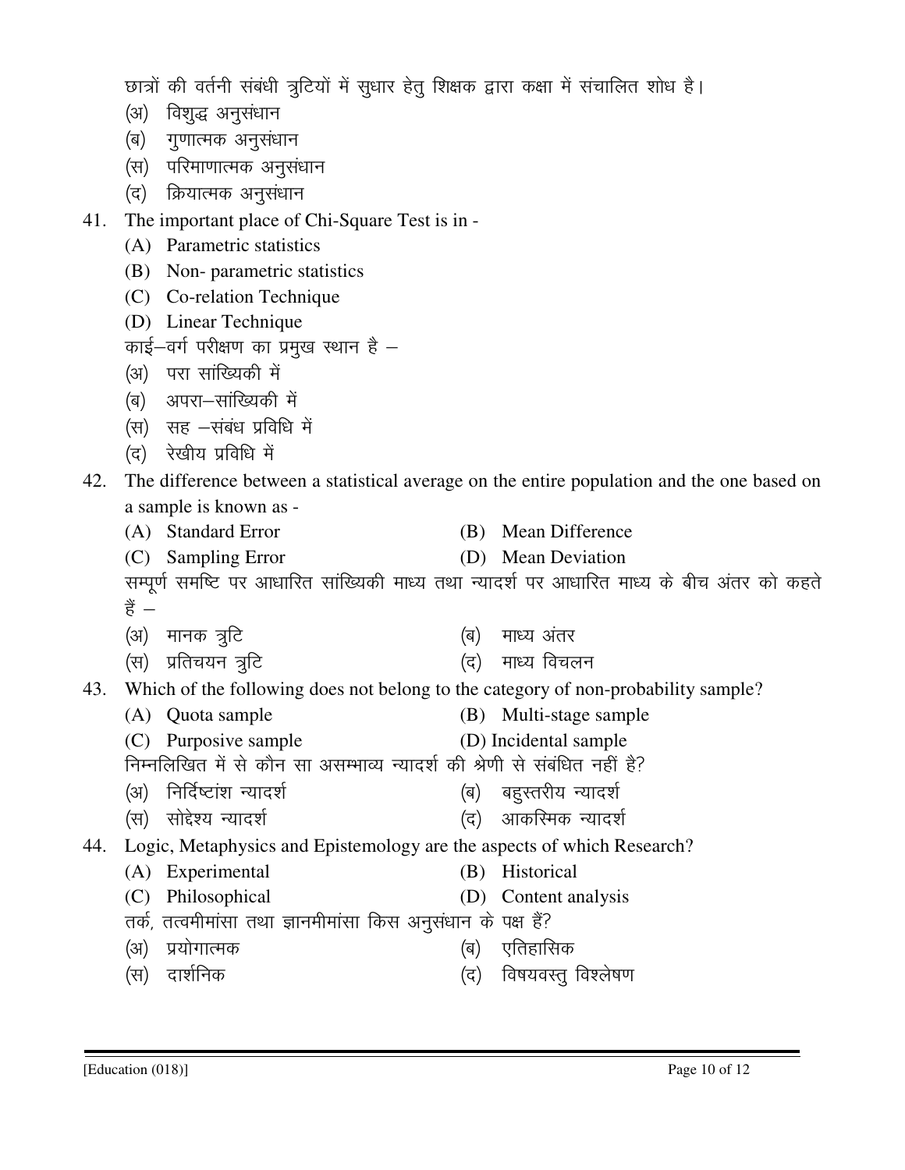छात्रों की वर्तनी संबंधी त्रूटियों में सूधार हेतू शिक्षक द्वारा कक्षा में संचालित शोध है।

- (अ) विशुद्ध अनुसंधान
- (ब) गुणात्मक अनुसंधान
- (स) परिमाणात्मक अनुसंधान
- (द) क्रियात्मक अनुसंधान
- 41. The important place of Chi-Square Test is in
	- (A) Parametric statistics
	- (B) Non- parametric statistics
	- (C) Co-relation Technique
	- (D) Linear Technique
	- काई-वर्ग परीक्षण का प्रमुख स्थान है $-$
	- (अ) परा सांख्यिकी में
	- (ब) अपरा-सांख्यिकी में
	- (स) सह -संबंध प्रविधि में
	- (द) रेखीय प्रविधि में

42. The difference between a statistical average on the entire population and the one based on a sample is known as -

- (A) Standard Error (B) Mean Difference
- (C) Sampling Error (D) Mean Deviation

सम्पूर्ण समष्टि पर आधारित सांख्यिकी माध्य तथा न्यादर्श पर आधारित माध्य के बीच अंतर को कहते हैं  $-$ 

- (अ) मानक त्रूटि (ब) माध्य अंतर
- (स) प्रतिचयन त्रूटि (द) माध्य विचलन
- 43. Which of the following does not belong to the category of non-probability sample?
	- (A) Quota sample (B) Multi-stage sample
	- (C) Purposive sample (D) Incidental sample
	- निम्नलिखित में से कौन सा असम्भाव्य न्यादर्श की श्रेणी से संबंधित नहीं है?
	- (अ) निर्दिष्टांश न्यादर्श (ब) बहुस्तरीय न्यादर्श
	- (स) सोद्देश्य न्यादर्श

44. Logic, Metaphysics and Epistemology are the aspects of which Research?

- (A) Experimental (B) Historical
- (C) Philosophical (D) Content analysis
- तर्क, तत्वमीमांसा तथा ज्ञानमीमांसा किस अनुसंधान के पक्ष हैं?
	- ¼v½ i z;ksxkRed ¼c½ ,frgkfld
	- ¼l½ nk'kZfud ¼n½ fo"k;oLrq fo'ys"k.k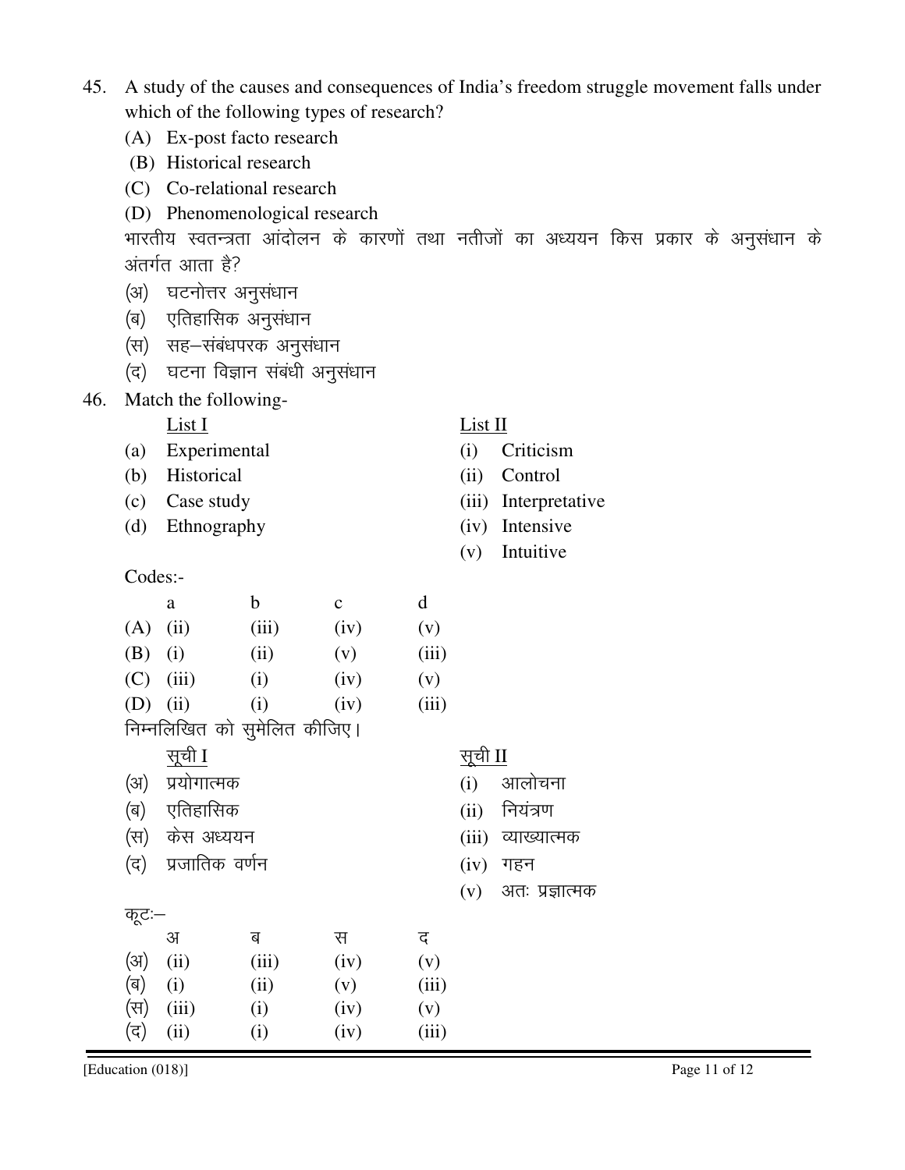| Co-relational research<br>(C) |                                             |                              |                               |                                                                                    |              |                |           |                       |  |  |  |  |  |  |
|-------------------------------|---------------------------------------------|------------------------------|-------------------------------|------------------------------------------------------------------------------------|--------------|----------------|-----------|-----------------------|--|--|--|--|--|--|
|                               |                                             |                              | (D) Phenomenological research |                                                                                    |              |                |           |                       |  |  |  |  |  |  |
|                               |                                             |                              |                               | भारतीय स्वतन्त्रता आंदोलन के कारणों तथा नतीजों का अध्ययन किस प्रकार के अनुसंधान के |              |                |           |                       |  |  |  |  |  |  |
|                               | अंतर्गत आता है?<br>घटनोत्तर अनुसंधान<br>(अ) |                              |                               |                                                                                    |              |                |           |                       |  |  |  |  |  |  |
|                               |                                             |                              |                               |                                                                                    |              |                |           |                       |  |  |  |  |  |  |
|                               | (ब)                                         | एतिहासिक अनुसंधान            |                               |                                                                                    |              |                |           |                       |  |  |  |  |  |  |
|                               | (स)                                         |                              | सह–संबंधपरक अनुसंधान          |                                                                                    |              |                |           |                       |  |  |  |  |  |  |
|                               | (द)                                         |                              | घटना विज्ञान संबंधी अनुसंधान  |                                                                                    |              |                |           |                       |  |  |  |  |  |  |
| 46.                           |                                             | Match the following-         |                               |                                                                                    |              |                |           |                       |  |  |  |  |  |  |
|                               |                                             | List I                       |                               |                                                                                    |              | List II        |           |                       |  |  |  |  |  |  |
|                               | (a)                                         | Experimental                 |                               |                                                                                    |              | (i)            | Criticism |                       |  |  |  |  |  |  |
|                               | (b)                                         | Historical                   |                               |                                                                                    |              | (ii)           | Control   |                       |  |  |  |  |  |  |
|                               | (c)                                         | Case study                   |                               |                                                                                    |              | (iii)          |           | Interpretative        |  |  |  |  |  |  |
|                               | (d)                                         | Ethnography                  |                               |                                                                                    |              | (iv)           | Intensive |                       |  |  |  |  |  |  |
|                               |                                             |                              |                               |                                                                                    |              | (v)            | Intuitive |                       |  |  |  |  |  |  |
|                               |                                             | Codes:-                      |                               |                                                                                    |              |                |           |                       |  |  |  |  |  |  |
|                               |                                             | a                            | $\mathbf b$                   | $\mathbf{C}$                                                                       | d            |                |           |                       |  |  |  |  |  |  |
|                               | (A)                                         | (ii)                         | (iii)                         | (iv)                                                                               | (v)          |                |           |                       |  |  |  |  |  |  |
|                               | (B)                                         | (i)                          | (ii)                          | (v)                                                                                | (iii)        |                |           |                       |  |  |  |  |  |  |
|                               | (C)                                         | (iii)                        | (i)                           | (iv)                                                                               | (v)          |                |           |                       |  |  |  |  |  |  |
|                               | (D)                                         | (ii)                         | (i)                           | (iv)                                                                               | (iii)        |                |           |                       |  |  |  |  |  |  |
|                               |                                             | निम्नलिखित को सुमेलित कीजिए। |                               |                                                                                    |              |                |           |                       |  |  |  |  |  |  |
|                               | <u>सूची</u> I                               |                              |                               |                                                                                    |              | <u>सूची</u> II |           |                       |  |  |  |  |  |  |
|                               | प्रयोगात्मक<br>(अ)                          |                              |                               |                                                                                    |              | (i)            | आलोचना    |                       |  |  |  |  |  |  |
|                               | एतिहासिक<br>(ब)                             |                              |                               |                                                                                    |              | (ii)           | नियंत्रण  |                       |  |  |  |  |  |  |
|                               | (स)                                         | केस अध्ययन                   |                               |                                                                                    |              | (iii)          |           | व्याख्यात्मक          |  |  |  |  |  |  |
|                               | (द) प्रजातिक वर्णन                          |                              |                               |                                                                                    | $(iv)$ गहन   |                |           |                       |  |  |  |  |  |  |
|                               |                                             |                              |                               |                                                                                    |              |                |           | $(v)$ अतः प्रज्ञात्मक |  |  |  |  |  |  |
|                               | कूट:—                                       |                              |                               |                                                                                    |              |                |           |                       |  |  |  |  |  |  |
|                               | (3I)                                        | अ<br>(ii)                    | ब                             | स                                                                                  | द            |                |           |                       |  |  |  |  |  |  |
|                               | (ब)                                         | (i)                          | (iii)<br>(ii)                 | (iv)<br>(v)                                                                        | (v)<br>(iii) |                |           |                       |  |  |  |  |  |  |
|                               |                                             |                              |                               |                                                                                    |              |                |           |                       |  |  |  |  |  |  |

45. A study of the causes and consequences of India's freedom struggle movement falls under which of the following types of research?

 (A) Ex-post facto research (B) Historical research

 $\begin{array}{ccc} \n\langle \overline{\mathbf{H}} \rangle & (iii) & (i) & (iv) & (v) \\ \n\langle \overline{\mathbf{G}} \rangle & (ii) & (i) & (iv) & (iii) \n\end{array}$  $(\vec{a})$  (ii) (iv)